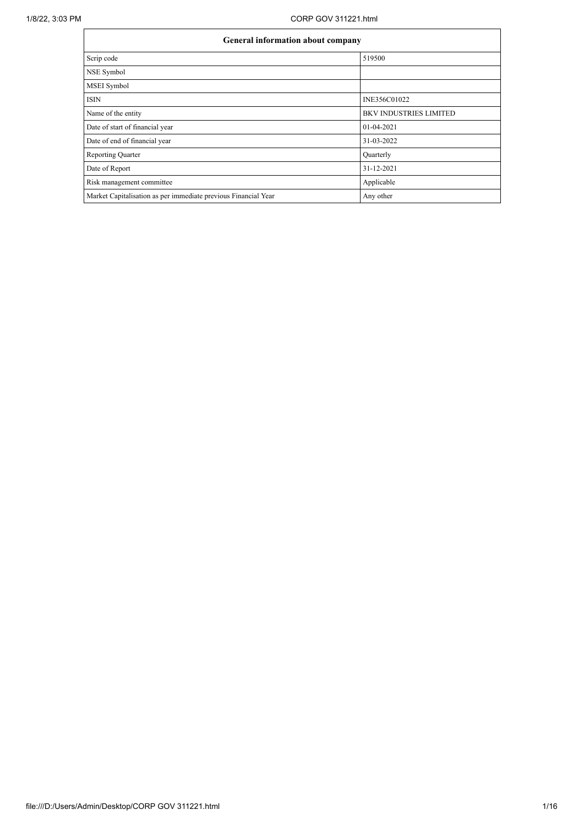|                                                                | General information about company |  |  |  |  |  |
|----------------------------------------------------------------|-----------------------------------|--|--|--|--|--|
| Scrip code                                                     | 519500                            |  |  |  |  |  |
| NSE Symbol                                                     |                                   |  |  |  |  |  |
| MSEI Symbol                                                    |                                   |  |  |  |  |  |
| <b>ISIN</b>                                                    | INE356C01022                      |  |  |  |  |  |
| Name of the entity                                             | <b>BKV INDUSTRIES LIMITED</b>     |  |  |  |  |  |
| Date of start of financial year                                | 01-04-2021                        |  |  |  |  |  |
| Date of end of financial year                                  | 31-03-2022                        |  |  |  |  |  |
| Reporting Quarter                                              | Quarterly                         |  |  |  |  |  |
| Date of Report                                                 | 31-12-2021                        |  |  |  |  |  |
| Risk management committee                                      | Applicable                        |  |  |  |  |  |
| Market Capitalisation as per immediate previous Financial Year | Any other                         |  |  |  |  |  |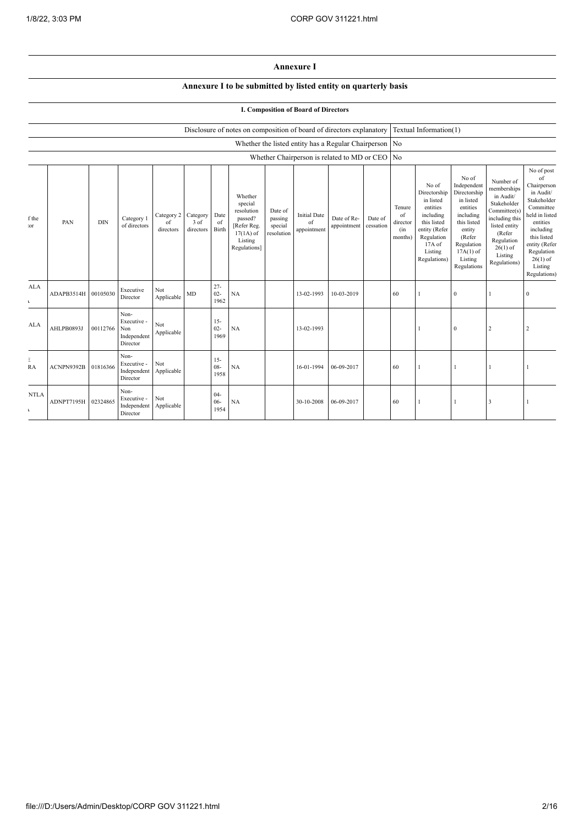## **Annexure I**

## **Annexure I to be submitted by listed entity on quarterly basis**

## **I. Composition of Board of Directors**

|                             |            |            |                                                       |                                        |                   |                          | Disclosure of notes on composition of board of directors explanatory                                 |                                             |                                          |                                                        |                      |                                            | Textual Information(1)                                                                                                                         |                                                                                                                                                                      |                                                                                                                                                                          |                                                                                                                                                                                                            |
|-----------------------------|------------|------------|-------------------------------------------------------|----------------------------------------|-------------------|--------------------------|------------------------------------------------------------------------------------------------------|---------------------------------------------|------------------------------------------|--------------------------------------------------------|----------------------|--------------------------------------------|------------------------------------------------------------------------------------------------------------------------------------------------|----------------------------------------------------------------------------------------------------------------------------------------------------------------------|--------------------------------------------------------------------------------------------------------------------------------------------------------------------------|------------------------------------------------------------------------------------------------------------------------------------------------------------------------------------------------------------|
|                             |            |            |                                                       |                                        |                   |                          |                                                                                                      |                                             |                                          | Whether the listed entity has a Regular Chairperson No |                      |                                            |                                                                                                                                                |                                                                                                                                                                      |                                                                                                                                                                          |                                                                                                                                                                                                            |
|                             |            |            |                                                       |                                        |                   |                          |                                                                                                      |                                             |                                          | Whether Chairperson is related to MD or CEO No         |                      |                                            |                                                                                                                                                |                                                                                                                                                                      |                                                                                                                                                                          |                                                                                                                                                                                                            |
| f the<br>:or                | PAN        | <b>DIN</b> | Category 1<br>of directors                            | Category 2 Category<br>of<br>directors | 3 of<br>directors | Date<br>of<br>Birth      | Whether<br>special<br>resolution<br>passed?<br>[Refer Reg.<br>$17(1A)$ of<br>Listing<br>Regulations] | Date of<br>passing<br>special<br>resolution | <b>Initial Date</b><br>of<br>appointment | Date of Re-<br>appointment                             | Date of<br>cessation | Tenure<br>of<br>director<br>(in<br>months) | No of<br>Directorship<br>in listed<br>entities<br>including<br>this listed<br>entity (Refer<br>Regulation<br>17A of<br>Listing<br>Regulations) | No of<br>Independent<br>Directorship<br>in listed<br>entities<br>including<br>this listed<br>entity<br>(Refer<br>Regulation<br>$17A(1)$ of<br>Listing<br>Regulations | Number of<br>memberships<br>in Audit/<br>Stakeholder<br>Committee(s)<br>including this<br>listed entity<br>(Refer<br>Regulation<br>$26(1)$ of<br>Listing<br>Regulations) | No of post<br>of<br>Chairperson<br>in Audit/<br>Stakeholder<br>Committee<br>held in listed<br>entities<br>including<br>this listed<br>entity (Refer<br>Regulation<br>$26(1)$ of<br>Listing<br>Regulations) |
| <b>ALA</b><br>$\mathbf{r}$  | ADAPB3514H | 00105030   | Executive<br>Director                                 | Not<br>Applicable                      | MD                | $27 -$<br>$02 -$<br>1962 | NA                                                                                                   |                                             | 13-02-1993                               | 10-03-2019                                             |                      | 60                                         |                                                                                                                                                | 0                                                                                                                                                                    |                                                                                                                                                                          | $\Omega$                                                                                                                                                                                                   |
| ALA                         | AHLPB0893J | 00112766   | Non-<br>Executive -<br>Non<br>Independent<br>Director | Not<br>Applicable                      |                   | $15 -$<br>$02 -$<br>1969 | NA                                                                                                   |                                             | 13-02-1993                               |                                                        |                      |                                            |                                                                                                                                                | $\sqrt{ }$                                                                                                                                                           | $\overline{2}$                                                                                                                                                           | $\overline{2}$                                                                                                                                                                                             |
| Е<br><b>RA</b>              | ACNPN9392B | 01816366   | Non-<br>Executive -<br>Independent<br>Director        | Not<br>Applicable                      |                   | $15 -$<br>$08 -$<br>1958 | NA                                                                                                   |                                             | 16-01-1994                               | 06-09-2017                                             |                      | 60                                         |                                                                                                                                                |                                                                                                                                                                      |                                                                                                                                                                          |                                                                                                                                                                                                            |
| <b>NTLA</b><br>$\mathbf{r}$ | ADNPT7195H | 02324865   | Non-<br>Executive -<br>Independent<br>Director        | Not<br>Applicable                      |                   | $04 -$<br>$06 -$<br>1954 | NA                                                                                                   |                                             | 30-10-2008                               | 06-09-2017                                             |                      | 60                                         |                                                                                                                                                |                                                                                                                                                                      | 3                                                                                                                                                                        |                                                                                                                                                                                                            |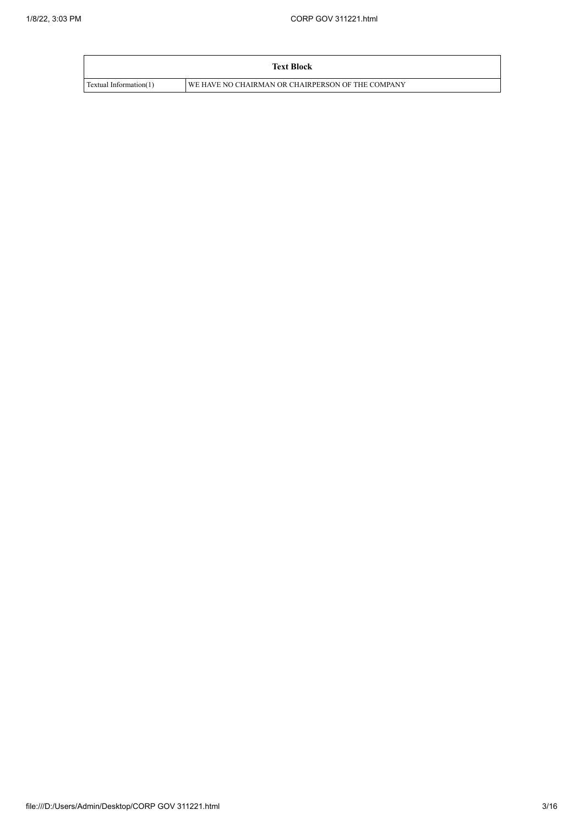|                        | <b>Text Block</b>                                   |
|------------------------|-----------------------------------------------------|
| Textual Information(1) | I WE HAVE NO CHAIRMAN OR CHAIRPERSON OF THE COMPANY |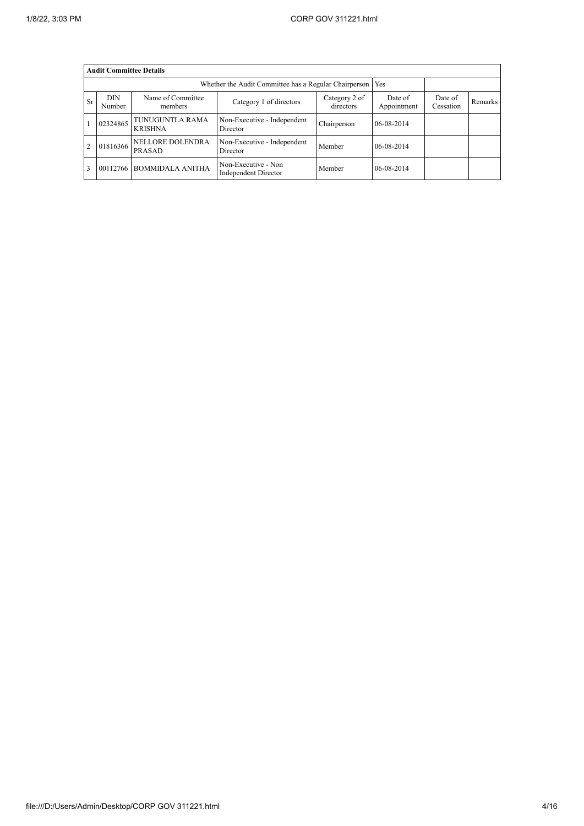|           | <b>Audit Committee Details</b> |                                   |                                                             |                            |                        |                      |         |
|-----------|--------------------------------|-----------------------------------|-------------------------------------------------------------|----------------------------|------------------------|----------------------|---------|
|           |                                |                                   | Whether the Audit Committee has a Regular Chairperson   Yes |                            |                        |                      |         |
| <b>Sr</b> | <b>DIN</b><br>Number           | Name of Committee<br>members      | Category 1 of directors                                     | Category 2 of<br>directors | Date of<br>Appointment | Date of<br>Cessation | Remarks |
|           | 02324865                       | TUNUGUNTLA RAMA<br><b>KRISHNA</b> | Non-Executive - Independent<br>Director                     | Chairperson                | $06 - 08 - 2014$       |                      |         |
|           | 01816366                       | <b>NELLORE DOLENDRA</b><br>PRASAD | Non-Executive - Independent<br>Director                     | Member                     | 06-08-2014             |                      |         |
|           | 00112766                       | <b>BOMMIDALA ANITHA</b>           | Non-Executive - Non<br>Independent Director                 | Member                     | 06-08-2014             |                      |         |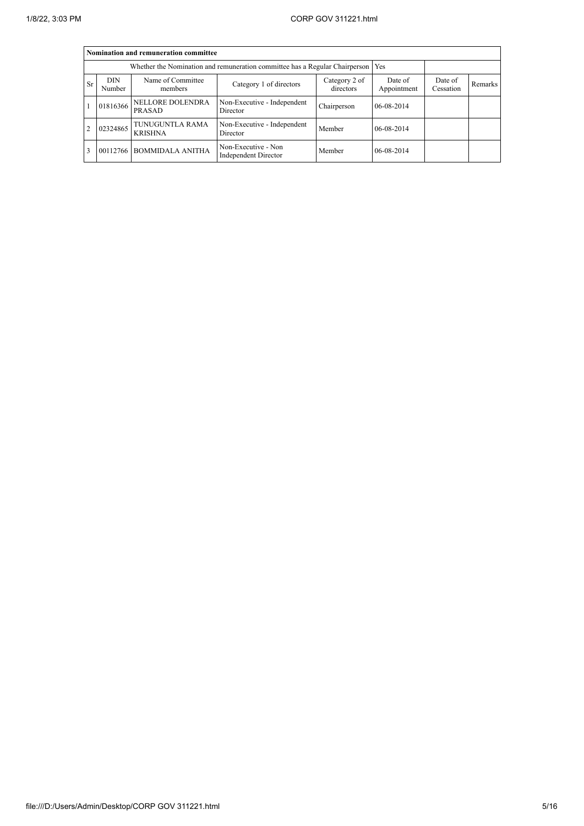|           |                      | Nomination and remuneration committee |                                                                                   |                        |                      |         |  |  |  |
|-----------|----------------------|---------------------------------------|-----------------------------------------------------------------------------------|------------------------|----------------------|---------|--|--|--|
|           |                      |                                       | Whether the Nomination and remuneration committee has a Regular Chairperson   Yes |                        |                      |         |  |  |  |
| <b>Sr</b> | <b>DIN</b><br>Number | Name of Committee<br>members          | Category 2 of<br>directors                                                        | Date of<br>Appointment | Date of<br>Cessation | Remarks |  |  |  |
|           | 01816366             | <b>NELLORE DOLENDRA</b><br>PRASAD     | Non-Executive - Independent<br>Director                                           | Chairperson            | 06-08-2014           |         |  |  |  |
|           | 02324865             | TUNUGUNTLA RAMA<br><b>KRISHNA</b>     | Non-Executive - Independent<br>Director                                           | Member                 | 06-08-2014           |         |  |  |  |
|           | 00112766             | <b>BOMMIDALA ANITHA</b>               | Non-Executive - Non<br>Independent Director                                       | Member                 | 06-08-2014           |         |  |  |  |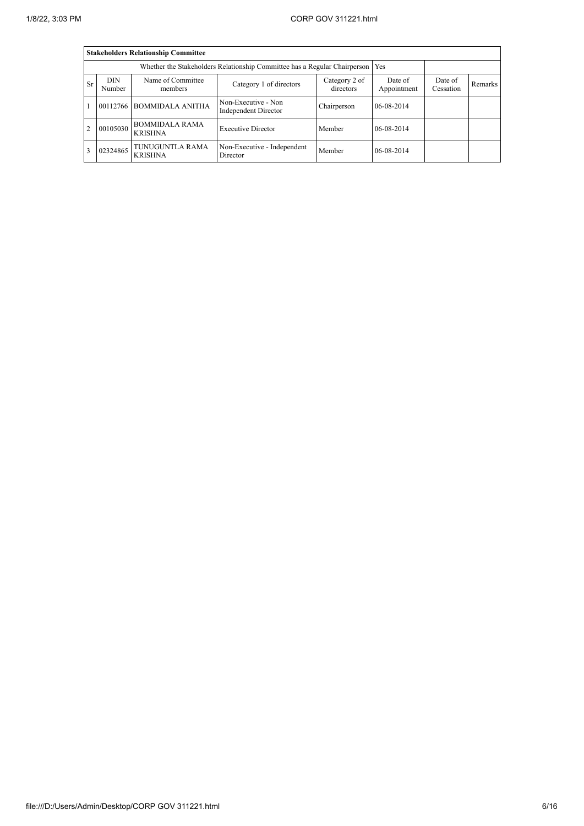|           |                      | <b>Stakeholders Relationship Committee</b> |                                                                                 |                            |                        |                      |         |
|-----------|----------------------|--------------------------------------------|---------------------------------------------------------------------------------|----------------------------|------------------------|----------------------|---------|
|           |                      |                                            | Whether the Stakeholders Relationship Committee has a Regular Chairperson   Yes |                            |                        |                      |         |
| <b>Sr</b> | <b>DIN</b><br>Number | Name of Committee<br>members               | Category 1 of directors                                                         | Category 2 of<br>directors | Date of<br>Appointment | Date of<br>Cessation | Remarks |
|           | 00112766             | <b>BOMMIDALA ANITHA</b>                    | Non-Executive - Non<br>Independent Director                                     | Chairperson                | 06-08-2014             |                      |         |
| 2         | 00105030             | <b>BOMMIDALA RAMA</b><br><b>KRISHNA</b>    | <b>Executive Director</b>                                                       | Member                     | 06-08-2014             |                      |         |
|           | 02324865             | TUNUGUNTLA RAMA<br><b>KRISHNA</b>          | Non-Executive - Independent<br>Director                                         | Member                     | 06-08-2014             |                      |         |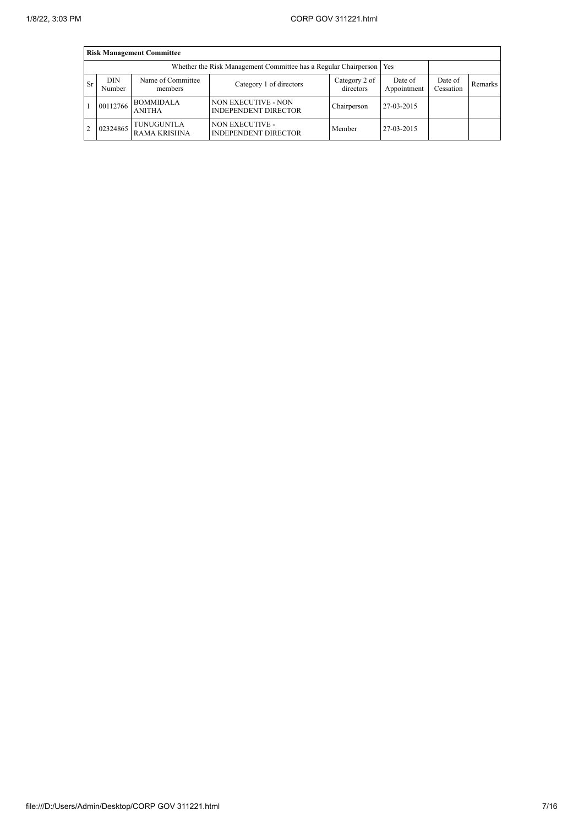|                | <b>Risk Management Committee</b> |                                   |                                                                       |                            |                        |                      |         |  |
|----------------|----------------------------------|-----------------------------------|-----------------------------------------------------------------------|----------------------------|------------------------|----------------------|---------|--|
|                |                                  |                                   | Whether the Risk Management Committee has a Regular Chairperson   Yes |                            |                        |                      |         |  |
| <b>Sr</b>      | <b>DIN</b><br>Number             | Name of Committee<br>members      | Category 1 of directors                                               | Category 2 of<br>directors | Date of<br>Appointment | Date of<br>Cessation | Remarks |  |
|                | 00112766                         | <b>BOMMIDALA</b><br><b>ANITHA</b> | <b>NON EXECUTIVE - NON</b><br><b>INDEPENDENT DIRECTOR</b>             | Chairperson                | 27-03-2015             |                      |         |  |
| $\overline{2}$ | 02324865                         | TUNUGUNTLA<br><b>RAMA KRISHNA</b> | <b>NON EXECUTIVE -</b><br><b>INDEPENDENT DIRECTOR</b>                 | Member                     | 27-03-2015             |                      |         |  |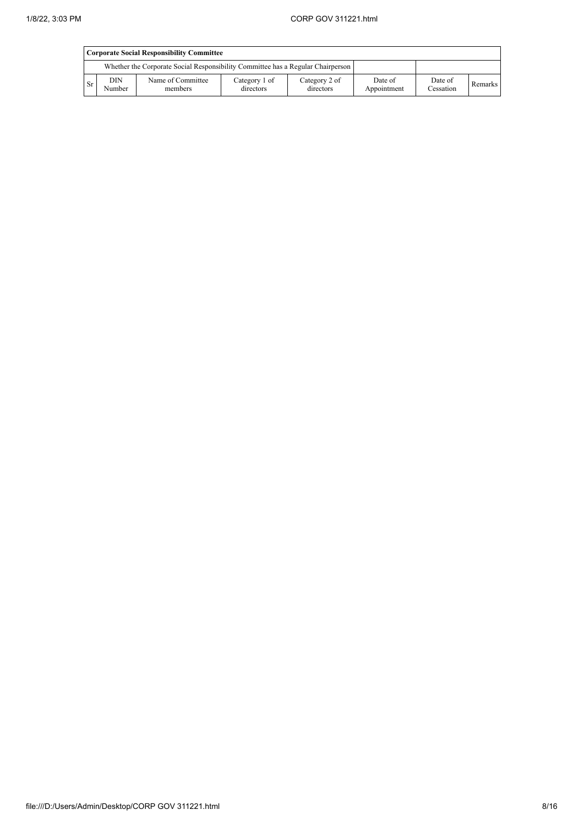|           | <b>Corporate Social Responsibility Committee</b> |                                                                                 |                            |                            |                        |                      |         |
|-----------|--------------------------------------------------|---------------------------------------------------------------------------------|----------------------------|----------------------------|------------------------|----------------------|---------|
|           |                                                  | Whether the Corporate Social Responsibility Committee has a Regular Chairperson |                            |                            |                        |                      |         |
| <b>Sr</b> | <b>DIN</b><br>Number                             | Name of Committee<br>members                                                    | Category 1 of<br>directors | Category 2 of<br>directors | Date of<br>Appointment | Date of<br>Cessation | Remarks |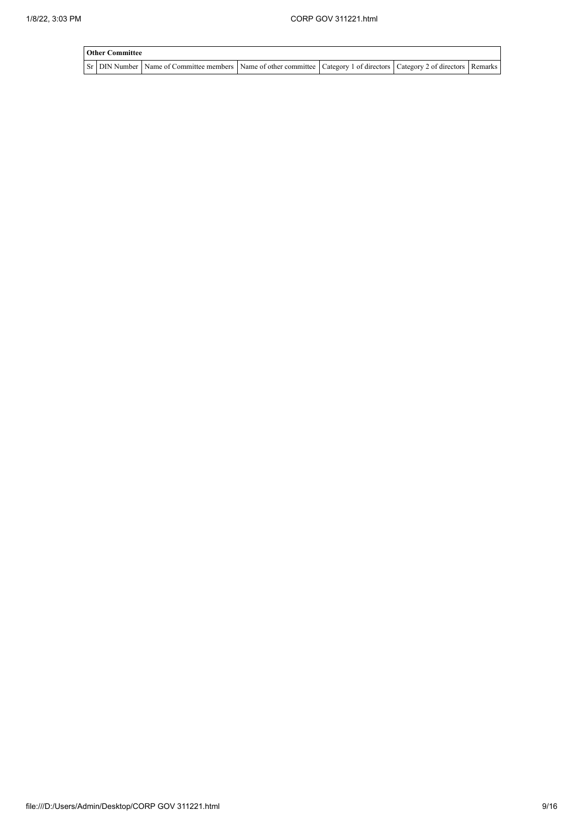| <b>Other Committee</b> |                                                                                                                                                  |  |  |
|------------------------|--------------------------------------------------------------------------------------------------------------------------------------------------|--|--|
|                        | Sr   DIN Number   Name of Committee members   Name of other committee   Category 1 of directors   Category 2 of directors   Remarks <sup> </sup> |  |  |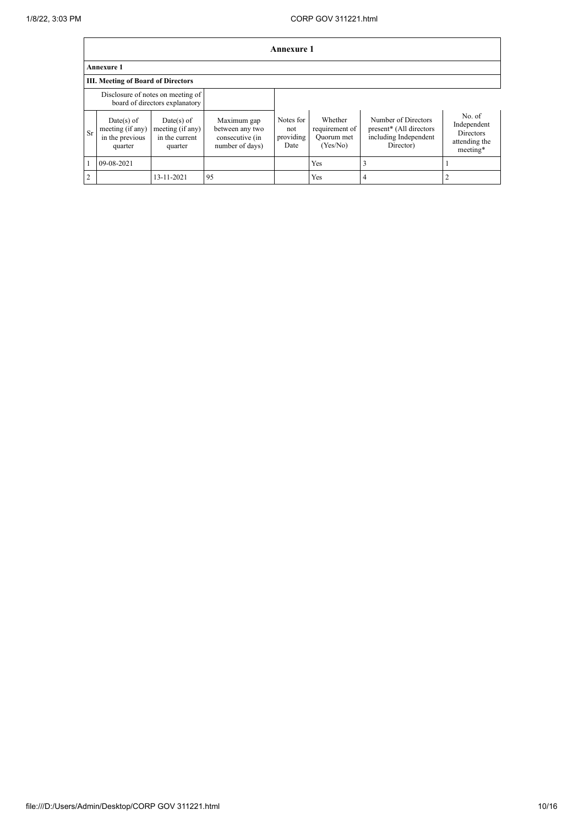|               |                                                              |                                                                     |                                                                      | Annexure 1                            |                                                     |                                                                                      |                                                                        |
|---------------|--------------------------------------------------------------|---------------------------------------------------------------------|----------------------------------------------------------------------|---------------------------------------|-----------------------------------------------------|--------------------------------------------------------------------------------------|------------------------------------------------------------------------|
|               | <b>Annexure 1</b>                                            |                                                                     |                                                                      |                                       |                                                     |                                                                                      |                                                                        |
|               | <b>III. Meeting of Board of Directors</b>                    |                                                                     |                                                                      |                                       |                                                     |                                                                                      |                                                                        |
|               |                                                              | Disclosure of notes on meeting of<br>board of directors explanatory |                                                                      |                                       |                                                     |                                                                                      |                                                                        |
| Sr            | Date(s) of<br>meeting (if any)<br>in the previous<br>quarter | $Date(s)$ of<br>meeting (if any)<br>in the current<br>quarter       | Maximum gap<br>between any two<br>consecutive (in<br>number of days) | Notes for<br>not<br>providing<br>Date | Whether<br>requirement of<br>Quorum met<br>(Yes/No) | Number of Directors<br>present* (All directors<br>including Independent<br>Director) | No. of<br>Independent<br><b>Directors</b><br>attending the<br>meeting* |
|               | 09-08-2021                                                   |                                                                     |                                                                      |                                       | <b>Yes</b>                                          | 3                                                                                    |                                                                        |
| $\mathcal{D}$ |                                                              | 13-11-2021                                                          | 95                                                                   |                                       | Yes                                                 | 4                                                                                    |                                                                        |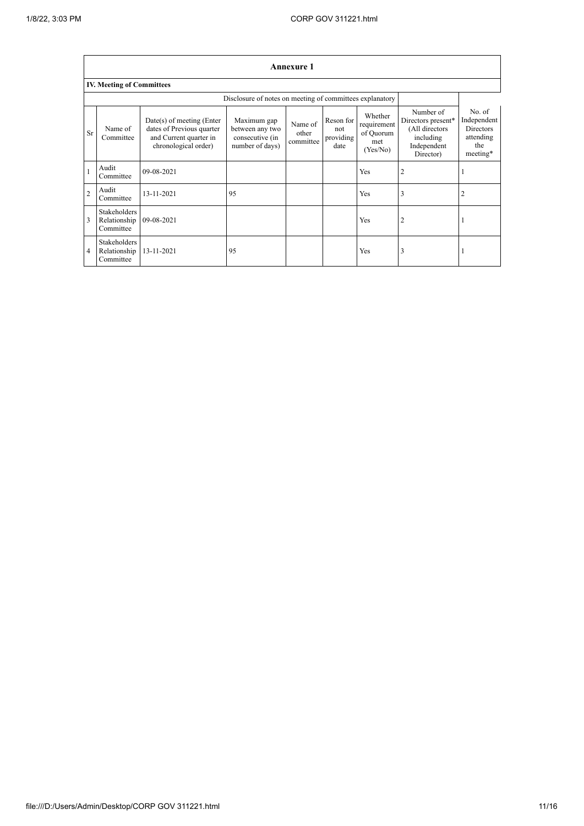٦

|                |                                           |                                                                                                            |                                                                      | Annexure 1                    |                                       |                                                        |                                                                                            |                                                                           |
|----------------|-------------------------------------------|------------------------------------------------------------------------------------------------------------|----------------------------------------------------------------------|-------------------------------|---------------------------------------|--------------------------------------------------------|--------------------------------------------------------------------------------------------|---------------------------------------------------------------------------|
|                | <b>IV. Meeting of Committees</b>          |                                                                                                            |                                                                      |                               |                                       |                                                        |                                                                                            |                                                                           |
|                |                                           |                                                                                                            | Disclosure of notes on meeting of committees explanatory             |                               |                                       |                                                        |                                                                                            |                                                                           |
| Sr             | Name of<br>Committee                      | $Date(s)$ of meeting (Enter<br>dates of Previous quarter<br>and Current quarter in<br>chronological order) | Maximum gap<br>between any two<br>consecutive (in<br>number of days) | Name of<br>other<br>committee | Reson for<br>not<br>providing<br>date | Whether<br>requirement<br>of Quorum<br>met<br>(Yes/No) | Number of<br>Directors present*<br>(All directors<br>including<br>Independent<br>Director) | No. of<br>Independent<br><b>Directors</b><br>attending<br>the<br>meeting* |
|                | Audit<br>Committee                        | 09-08-2021                                                                                                 |                                                                      |                               |                                       | Yes                                                    | 2                                                                                          |                                                                           |
| $\overline{2}$ | Audit<br>Committee                        | 13-11-2021                                                                                                 | 95                                                                   |                               |                                       | Yes                                                    | 3                                                                                          | 2                                                                         |
| 3              | Stakeholders<br>Relationship<br>Committee | 09-08-2021                                                                                                 |                                                                      |                               |                                       | Yes                                                    | 2                                                                                          |                                                                           |
| $\overline{4}$ | Stakeholders<br>Relationship<br>Committee | 13-11-2021                                                                                                 | 95                                                                   |                               |                                       | Yes                                                    | 3                                                                                          |                                                                           |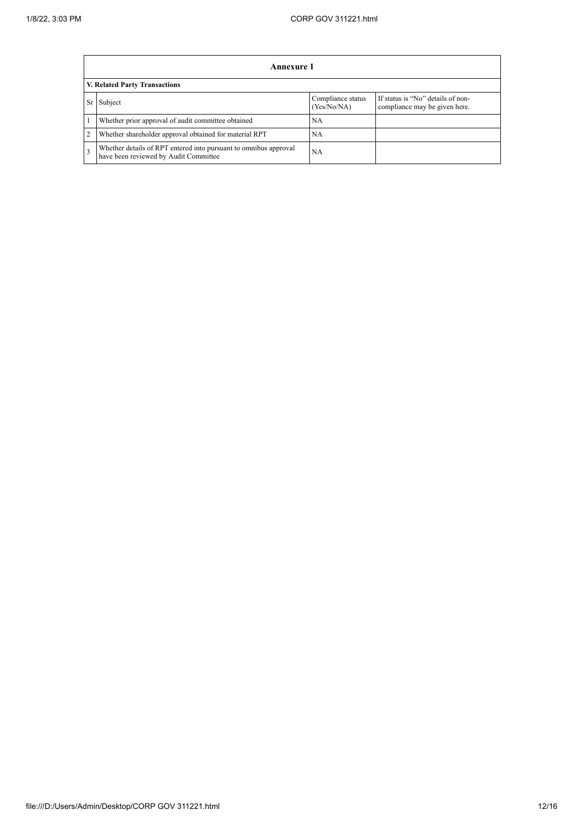|    | Annexure 1                                                                                                |                                  |                                                                    |
|----|-----------------------------------------------------------------------------------------------------------|----------------------------------|--------------------------------------------------------------------|
|    | <b>V. Related Party Transactions</b>                                                                      |                                  |                                                                    |
| Sr | Subject                                                                                                   | Compliance status<br>(Yes/No/NA) | If status is "No" details of non-<br>compliance may be given here. |
|    | Whether prior approval of audit committee obtained                                                        | NA                               |                                                                    |
| 2  | Whether shareholder approval obtained for material RPT                                                    | NA                               |                                                                    |
| 3  | Whether details of RPT entered into pursuant to omnibus approval<br>have been reviewed by Audit Committee | <b>NA</b>                        |                                                                    |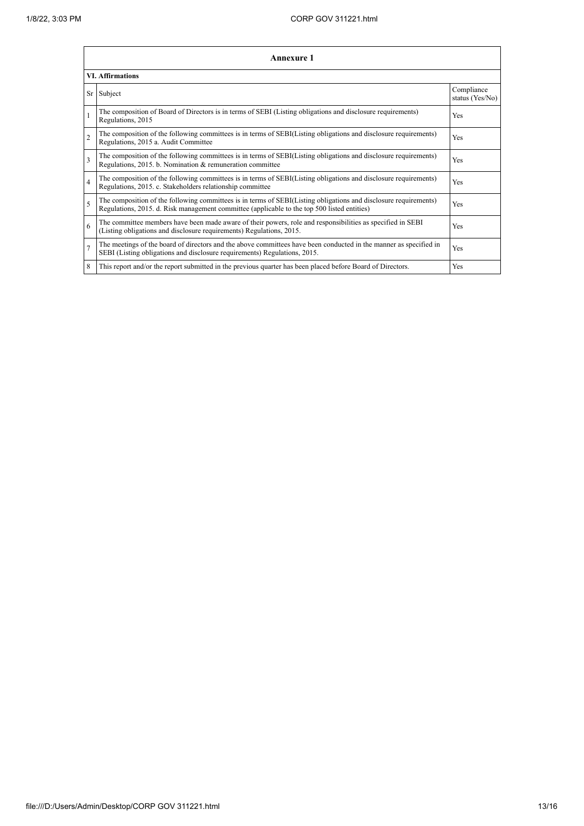|                          | Annexure 1                                                                                                                                                                                                      |                               |  |  |  |
|--------------------------|-----------------------------------------------------------------------------------------------------------------------------------------------------------------------------------------------------------------|-------------------------------|--|--|--|
| <b>VI.</b> Affirmations  |                                                                                                                                                                                                                 |                               |  |  |  |
| Sr                       | Subject                                                                                                                                                                                                         | Compliance<br>status (Yes/No) |  |  |  |
|                          | The composition of Board of Directors is in terms of SEBI (Listing obligations and disclosure requirements)<br>Regulations, 2015                                                                                | Yes                           |  |  |  |
| $\overline{2}$           | The composition of the following committees is in terms of SEBI(Listing obligations and disclosure requirements)<br>Regulations, 2015 a. Audit Committee                                                        | <b>Yes</b>                    |  |  |  |
| 3                        | The composition of the following committees is in terms of SEBI(Listing obligations and disclosure requirements)<br>Regulations, 2015. b. Nomination & remuneration committee                                   | Yes                           |  |  |  |
| $\overline{\mathcal{L}}$ | The composition of the following committees is in terms of SEBI(Listing obligations and disclosure requirements)<br>Regulations, 2015. c. Stakeholders relationship committee                                   | Yes                           |  |  |  |
| $\overline{\phantom{0}}$ | The composition of the following committees is in terms of SEBI(Listing obligations and disclosure requirements)<br>Regulations, 2015. d. Risk management committee (applicable to the top 500 listed entities) | Yes                           |  |  |  |
| 6                        | The committee members have been made aware of their powers, role and responsibilities as specified in SEBI<br>(Listing obligations and disclosure requirements) Regulations, 2015.                              | Yes                           |  |  |  |
|                          | The meetings of the board of directors and the above committees have been conducted in the manner as specified in<br>SEBI (Listing obligations and disclosure requirements) Regulations, 2015.                  | Yes                           |  |  |  |
| 8                        | This report and/or the report submitted in the previous quarter has been placed before Board of Directors.                                                                                                      | <b>Yes</b>                    |  |  |  |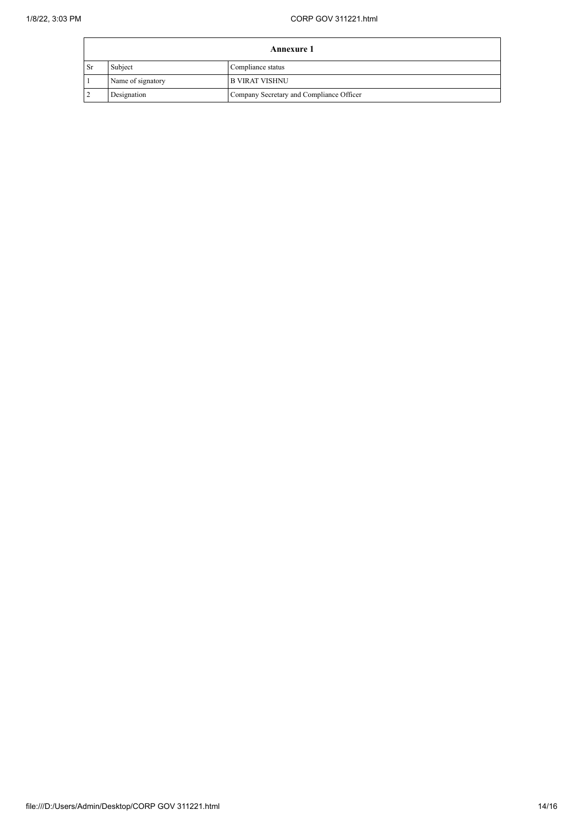| <b>Annexure 1</b> |                   |                                          |  |
|-------------------|-------------------|------------------------------------------|--|
| <sup>Sr</sup>     | Subject           | Compliance status                        |  |
|                   | Name of signatory | B VIRAT VISHNU                           |  |
|                   | Designation       | Company Secretary and Compliance Officer |  |